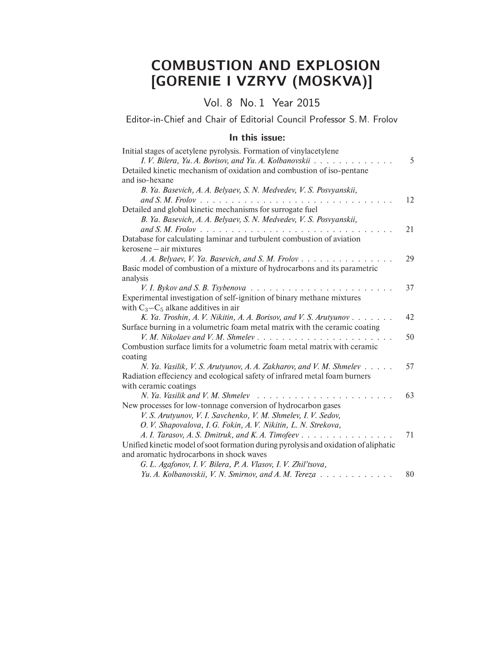## COMBUSTION AND EXPLOSION [GORENIE I VZRYV (MOSKVA)]

Vol. 8 No. 1 Year 2015

Editor-in-Chief and Chair of Editorial Council Professor S. M. Frolov

## In this issue:

| Initial stages of acetylene pyrolysis. Formation of vinylacetylene                  |    |
|-------------------------------------------------------------------------------------|----|
| I. V. Bilera, Yu. A. Borisov, and Yu. A. Kolbanovskii                               | 5  |
| Detailed kinetic mechanism of oxidation and combustion of iso-pentane               |    |
| and iso-hexane                                                                      |    |
| B. Ya. Basevich, A. A. Belyaev, S. N. Medvedev, V. S. Posvyanskii,                  |    |
|                                                                                     | 12 |
| Detailed and global kinetic mechanisms for surrogate fuel                           |    |
| B. Ya. Basevich, A. A. Belyaev, S. N. Medvedev, V. S. Posvyanskii,                  |    |
|                                                                                     | 21 |
| Database for calculating laminar and turbulent combustion of aviation               |    |
| kerosene – air mixtures                                                             |    |
| A. A. Belyaev, V. Ya. Basevich, and S. M. Frolov                                    | 29 |
| Basic model of combustion of a mixture of hydrocarbons and its parametric           |    |
| analysis                                                                            |    |
|                                                                                     | 37 |
| Experimental investigation of self-ignition of binary methane mixtures              |    |
| with $C_3 - C_5$ alkane additives in air                                            |    |
| K. Ya. Troshin, A. V. Nikitin, A. A. Borisov, and V. S. Arutyunov $\dots$           | 42 |
| Surface burning in a volumetric foam metal matrix with the ceramic coating          |    |
| V. M. Nikolaev and V. M. Shmelev                                                    | 50 |
| Combustion surface limits for a volumetric foam metal matrix with ceramic           |    |
| coating                                                                             |    |
| N. Ya. Vasilik, V. S. Arutyunov, A. A. Zakharov, and V. M. Shmelev                  | 57 |
| Radiation effeciency and ecological safety of infrared metal foam burners           |    |
| with ceramic coatings                                                               |    |
| N. Ya. Vasilik and V. M. Shmelev                                                    | 63 |
| New processes for low-tonnage conversion of hydrocarbon gases                       |    |
| V. S. Arutyunov, V. I. Savchenko, V. M. Shmelev, I. V. Sedov,                       |    |
| O. V. Shapovalova, I. G. Fokin, A. V. Nikitin, L. N. Strekova,                      |    |
| A. I. Tarasov, A. S. Dmitruk, and K. A. Timofeev                                    | 71 |
| Unified kinetic model of soot formation during pyrolysis and oxidation of aliphatic |    |
| and aromatic hydrocarbons in shock waves                                            |    |
| G. L. Agafonov, I. V. Bilera, P. A. Vlasov, I. V. Zhil'tsova,                       |    |
| Yu. A. Kolbanovskii, V. N. Smirnov, and A. M. Tereza                                | 80 |